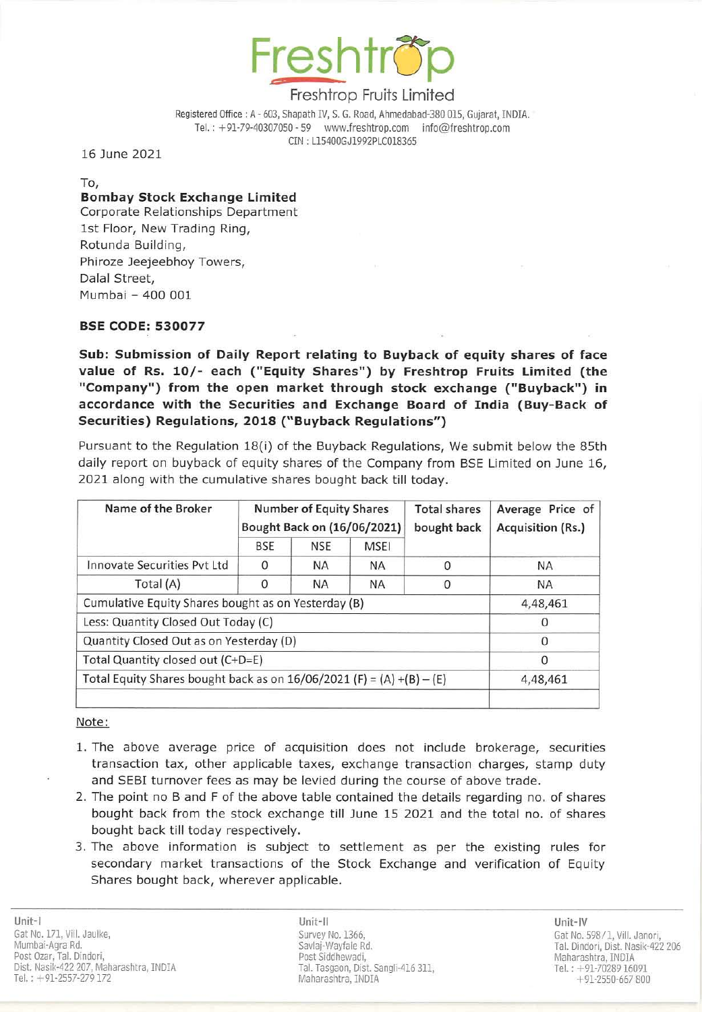

# Freshtrop Fruits Limited

Registered Office: A - 603, Shapath IV, S. G. Road, Ahmedabad-380 015, Gujarat, INDIA. Tel.: +91-79-40307050 - 59 www.freshtrop.com info@freshtrop.com eIN : L154QOGJ1992PlC0l8365

16 June 2021

To,

## Bombay Stock Exchange Limited

Corporate Relationships Department 1st Floor, New Trading Ring, Rotunda Building, Phiroze Jeejeebhoy Towers, Dalal Street, Mumbai - 400 001

### BSE CODE: 530077

Sub: Submission of Daily Report relating to Buyback of equity shares of face value of Rs. 10/- each ("Equity Shares") by Freshtrop Fruits Limited (the "Company") from the open market through stock exchange ("Buyback") in accordance with the Securities and Exchange Board of India (Buy-Back of Securities) Regulations, 2018 ("Buyback Regulations")

Pursuant to the Regulation 18(i) of the Buyback Regulations, We submit below the 85th daily report on buyback of equity shares of the Company from BSE Limited on June 16, 2021 along with the cumulative shares bought back till today.

| Name of the Broker                                                      | <b>Number of Equity Shares</b><br>Bought Back on (16/06/2021) |            |             | <b>Total shares</b><br>bought back | Average Price of<br><b>Acquisition (Rs.)</b> |
|-------------------------------------------------------------------------|---------------------------------------------------------------|------------|-------------|------------------------------------|----------------------------------------------|
|                                                                         | <b>BSE</b>                                                    | <b>NSE</b> | <b>MSEI</b> |                                    |                                              |
| Innovate Securities Pyt Ltd                                             | $\Omega$                                                      | <b>NA</b>  | <b>NA</b>   | $\Omega$                           | NA.                                          |
| Total (A)                                                               | $\Omega$                                                      | <b>NA</b>  | <b>NA</b>   | $\Omega$                           | <b>NA</b>                                    |
| Cumulative Equity Shares bought as on Yesterday (B)                     |                                                               |            |             |                                    | 4,48,461                                     |
| Less: Quantity Closed Out Today (C)                                     |                                                               |            |             |                                    |                                              |
| Quantity Closed Out as on Yesterday (D)                                 |                                                               |            |             |                                    | $\Omega$                                     |
| Total Quantity closed out (C+D=E)                                       |                                                               |            |             |                                    | O                                            |
| Total Equity Shares bought back as on $16/06/2021$ (F) = (A) +(B) – (E) | 4,48,461                                                      |            |             |                                    |                                              |
|                                                                         |                                                               |            |             |                                    |                                              |

#### Note:

- 1. The above average price of acquisition does not include brokerage, securities transaction tax, other applicable taxes, exchange transaction charges, stamp duty and SEBI turnover fees as may be levied during the course of above trade.
- 2. The point no B and F of the above table contained the details regarding no. of shares bought back from the stock exchange till June 15 2021 and the total no. of shares bought back till today respectively.
- 3. The above information is subject to settlement as per the existing rules for secondary market transactions of the Stock Exchange and verification of Equity Shares bought back, wherever applicable.

Unit-II Unit-IV Post Siddhewadi, Tal. Tasgaon, Dist. Sangli-416 311, Maharashtra, INDIA